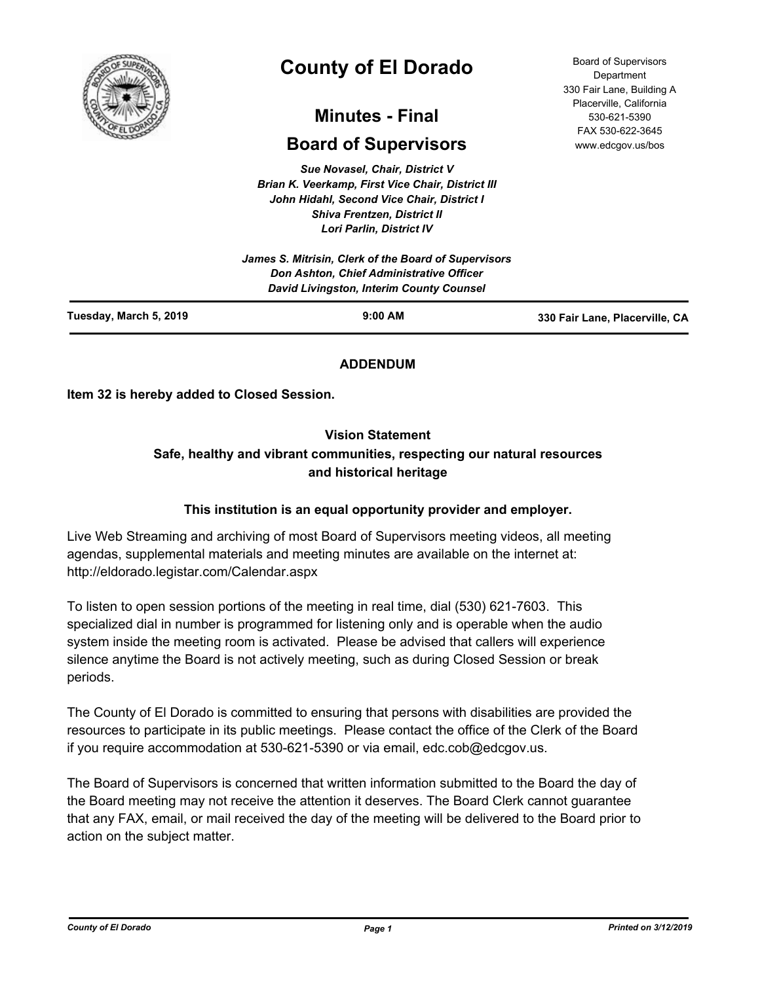

# **County of El Dorado**

## **Minutes - Final**

## **Board of Supervisors**

*Sue Novasel, Chair, District V Brian K. Veerkamp, First Vice Chair, District III John Hidahl, Second Vice Chair, District I Shiva Frentzen, District II Lori Parlin, District IV*

| Tuesday, March 5, 2019 | $9:00$ AM                                                                            | 330 Fair Lane, Placerville, CA |
|------------------------|--------------------------------------------------------------------------------------|--------------------------------|
|                        | Don Ashton, Chief Administrative Officer<br>David Livingston, Interim County Counsel |                                |
|                        | James S. Mitrisin, Clerk of the Board of Supervisors                                 |                                |

## **ADDENDUM**

**Item 32 is hereby added to Closed Session.**

## **Vision Statement**

## **Safe, healthy and vibrant communities, respecting our natural resources and historical heritage**

## **This institution is an equal opportunity provider and employer.**

Live Web Streaming and archiving of most Board of Supervisors meeting videos, all meeting agendas, supplemental materials and meeting minutes are available on the internet at: http://eldorado.legistar.com/Calendar.aspx

To listen to open session portions of the meeting in real time, dial (530) 621-7603. This specialized dial in number is programmed for listening only and is operable when the audio system inside the meeting room is activated. Please be advised that callers will experience silence anytime the Board is not actively meeting, such as during Closed Session or break periods.

The County of El Dorado is committed to ensuring that persons with disabilities are provided the resources to participate in its public meetings. Please contact the office of the Clerk of the Board if you require accommodation at 530-621-5390 or via email, edc.cob@edcgov.us.

The Board of Supervisors is concerned that written information submitted to the Board the day of the Board meeting may not receive the attention it deserves. The Board Clerk cannot guarantee that any FAX, email, or mail received the day of the meeting will be delivered to the Board prior to action on the subject matter.

Board of Supervisors Department 330 Fair Lane, Building A Placerville, California 530-621-5390 FAX 530-622-3645 www.edcgov.us/bos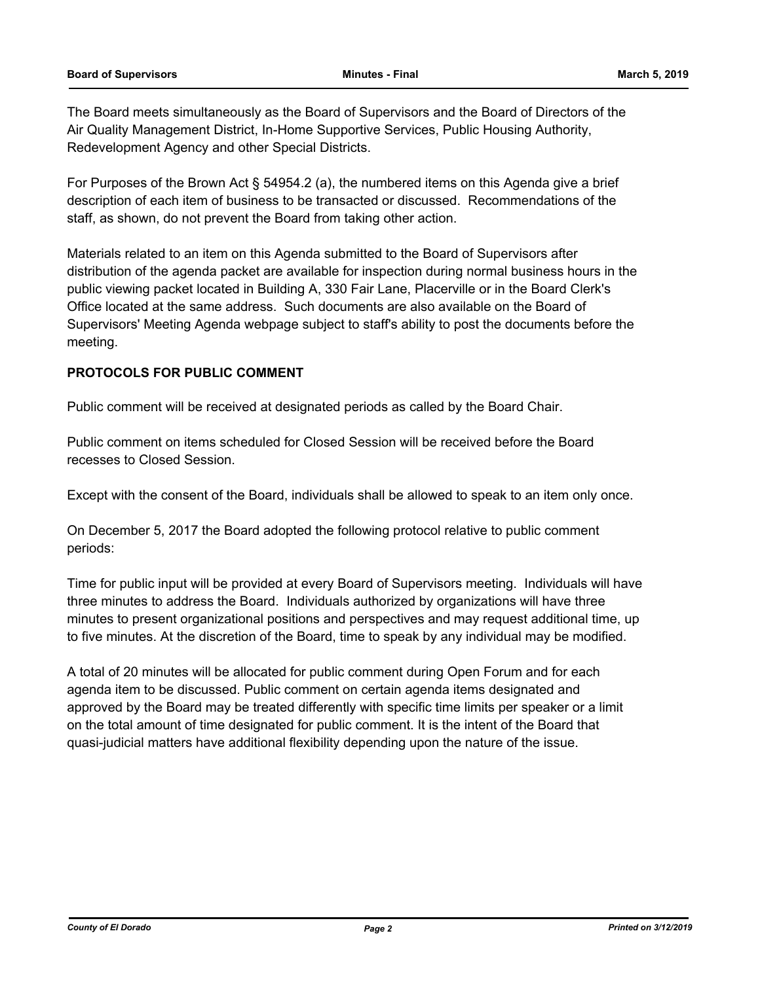The Board meets simultaneously as the Board of Supervisors and the Board of Directors of the Air Quality Management District, In-Home Supportive Services, Public Housing Authority, Redevelopment Agency and other Special Districts.

For Purposes of the Brown Act § 54954.2 (a), the numbered items on this Agenda give a brief description of each item of business to be transacted or discussed. Recommendations of the staff, as shown, do not prevent the Board from taking other action.

Materials related to an item on this Agenda submitted to the Board of Supervisors after distribution of the agenda packet are available for inspection during normal business hours in the public viewing packet located in Building A, 330 Fair Lane, Placerville or in the Board Clerk's Office located at the same address. Such documents are also available on the Board of Supervisors' Meeting Agenda webpage subject to staff's ability to post the documents before the meeting.

## **PROTOCOLS FOR PUBLIC COMMENT**

Public comment will be received at designated periods as called by the Board Chair.

Public comment on items scheduled for Closed Session will be received before the Board recesses to Closed Session.

Except with the consent of the Board, individuals shall be allowed to speak to an item only once.

On December 5, 2017 the Board adopted the following protocol relative to public comment periods:

Time for public input will be provided at every Board of Supervisors meeting. Individuals will have three minutes to address the Board. Individuals authorized by organizations will have three minutes to present organizational positions and perspectives and may request additional time, up to five minutes. At the discretion of the Board, time to speak by any individual may be modified.

A total of 20 minutes will be allocated for public comment during Open Forum and for each agenda item to be discussed. Public comment on certain agenda items designated and approved by the Board may be treated differently with specific time limits per speaker or a limit on the total amount of time designated for public comment. It is the intent of the Board that quasi-judicial matters have additional flexibility depending upon the nature of the issue.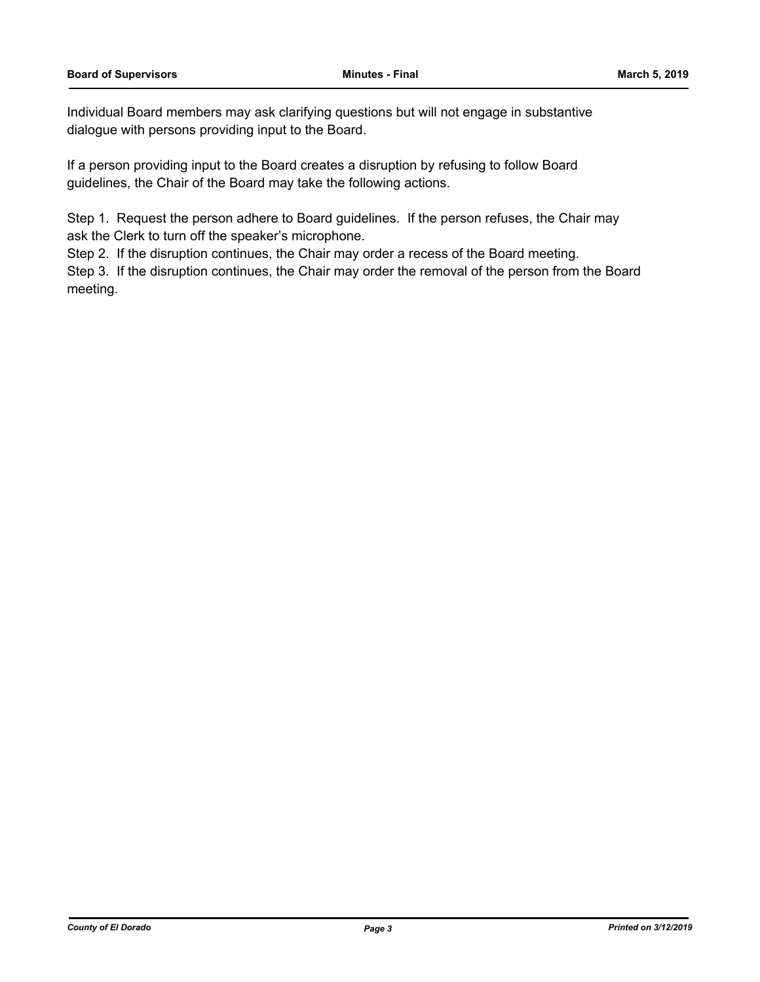Individual Board members may ask clarifying questions but will not engage in substantive dialogue with persons providing input to the Board.

If a person providing input to the Board creates a disruption by refusing to follow Board guidelines, the Chair of the Board may take the following actions.

Step 1. Request the person adhere to Board guidelines. If the person refuses, the Chair may ask the Clerk to turn off the speaker's microphone.

Step 2. If the disruption continues, the Chair may order a recess of the Board meeting.

Step 3. If the disruption continues, the Chair may order the removal of the person from the Board meeting.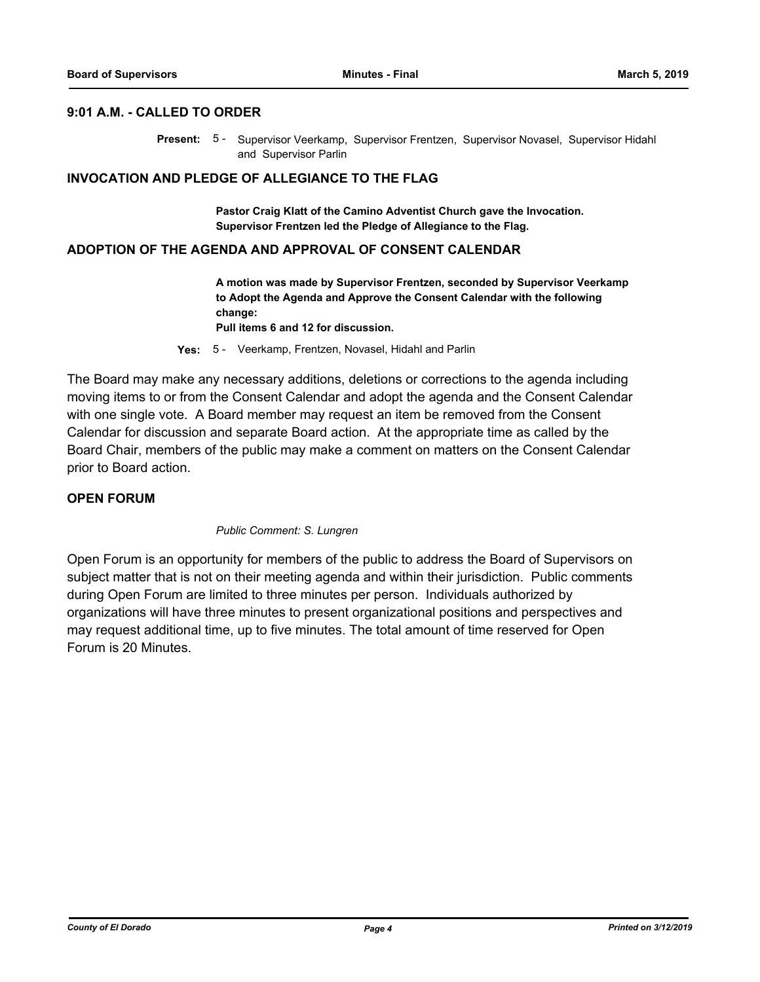## **9:01 A.M. - CALLED TO ORDER**

Present: 5 - Supervisor Veerkamp, Supervisor Frentzen, Supervisor Novasel, Supervisor Hidahl and Supervisor Parlin

#### **INVOCATION AND PLEDGE OF ALLEGIANCE TO THE FLAG**

**Pastor Craig Klatt of the Camino Adventist Church gave the Invocation. Supervisor Frentzen led the Pledge of Allegiance to the Flag.**

#### **ADOPTION OF THE AGENDA AND APPROVAL OF CONSENT CALENDAR**

**A motion was made by Supervisor Frentzen, seconded by Supervisor Veerkamp to Adopt the Agenda and Approve the Consent Calendar with the following change:**

**Pull items 6 and 12 for discussion.**

**Yes:** 5 - Veerkamp, Frentzen, Novasel, Hidahl and Parlin

The Board may make any necessary additions, deletions or corrections to the agenda including moving items to or from the Consent Calendar and adopt the agenda and the Consent Calendar with one single vote. A Board member may request an item be removed from the Consent Calendar for discussion and separate Board action. At the appropriate time as called by the Board Chair, members of the public may make a comment on matters on the Consent Calendar prior to Board action.

## **OPEN FORUM**

#### *Public Comment: S. Lungren*

Open Forum is an opportunity for members of the public to address the Board of Supervisors on subject matter that is not on their meeting agenda and within their jurisdiction. Public comments during Open Forum are limited to three minutes per person. Individuals authorized by organizations will have three minutes to present organizational positions and perspectives and may request additional time, up to five minutes. The total amount of time reserved for Open Forum is 20 Minutes.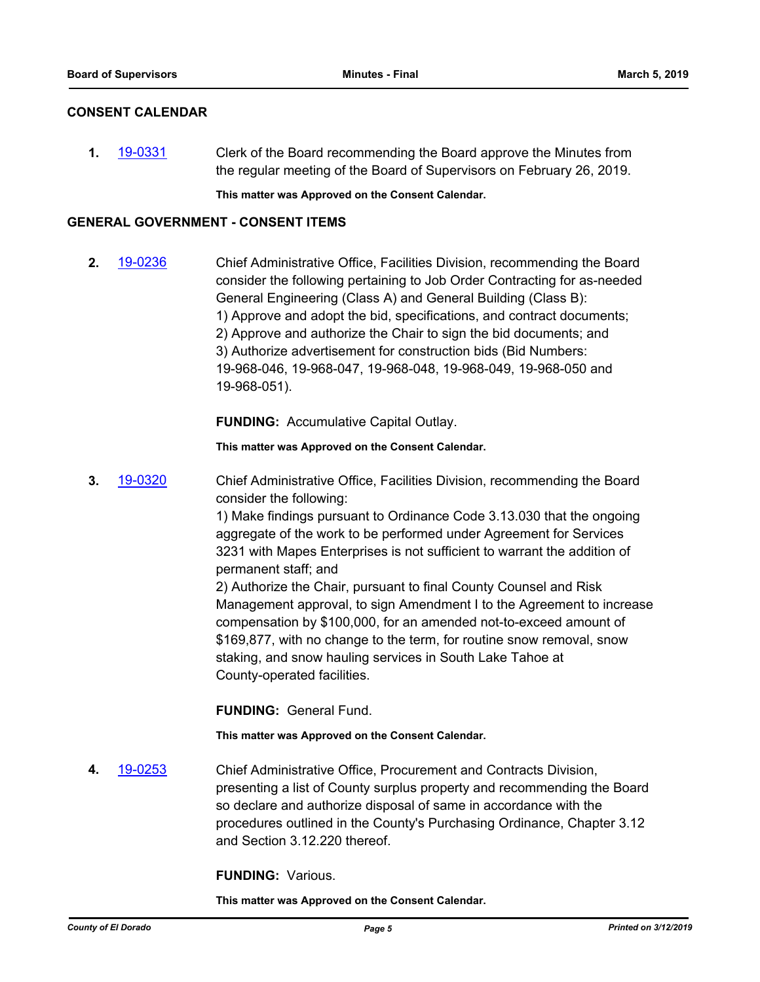## **CONSENT CALENDAR**

**1.** [19-0331](http://eldorado.legistar.com/gateway.aspx?m=l&id=/matter.aspx?key=25652) Clerk of the Board recommending the Board approve the Minutes from the regular meeting of the Board of Supervisors on February 26, 2019.

**This matter was Approved on the Consent Calendar.**

## **GENERAL GOVERNMENT - CONSENT ITEMS**

**2.** [19-0236](http://eldorado.legistar.com/gateway.aspx?m=l&id=/matter.aspx?key=25557) Chief Administrative Office, Facilities Division, recommending the Board consider the following pertaining to Job Order Contracting for as-needed General Engineering (Class A) and General Building (Class B): 1) Approve and adopt the bid, specifications, and contract documents; 2) Approve and authorize the Chair to sign the bid documents; and 3) Authorize advertisement for construction bids (Bid Numbers: 19-968-046, 19-968-047, 19-968-048, 19-968-049, 19-968-050 and 19-968-051).

**FUNDING:** Accumulative Capital Outlay.

**This matter was Approved on the Consent Calendar.**

**3.** [19-0320](http://eldorado.legistar.com/gateway.aspx?m=l&id=/matter.aspx?key=25641) Chief Administrative Office, Facilities Division, recommending the Board consider the following:

> 1) Make findings pursuant to Ordinance Code 3.13.030 that the ongoing aggregate of the work to be performed under Agreement for Services 3231 with Mapes Enterprises is not sufficient to warrant the addition of permanent staff; and

2) Authorize the Chair, pursuant to final County Counsel and Risk Management approval, to sign Amendment I to the Agreement to increase compensation by \$100,000, for an amended not-to-exceed amount of \$169,877, with no change to the term, for routine snow removal, snow staking, and snow hauling services in South Lake Tahoe at County-operated facilities.

**FUNDING:** General Fund.

**This matter was Approved on the Consent Calendar.**

**4.** [19-0253](http://eldorado.legistar.com/gateway.aspx?m=l&id=/matter.aspx?key=25574) Chief Administrative Office, Procurement and Contracts Division, presenting a list of County surplus property and recommending the Board so declare and authorize disposal of same in accordance with the procedures outlined in the County's Purchasing Ordinance, Chapter 3.12 and Section 3.12.220 thereof.

**FUNDING:** Various.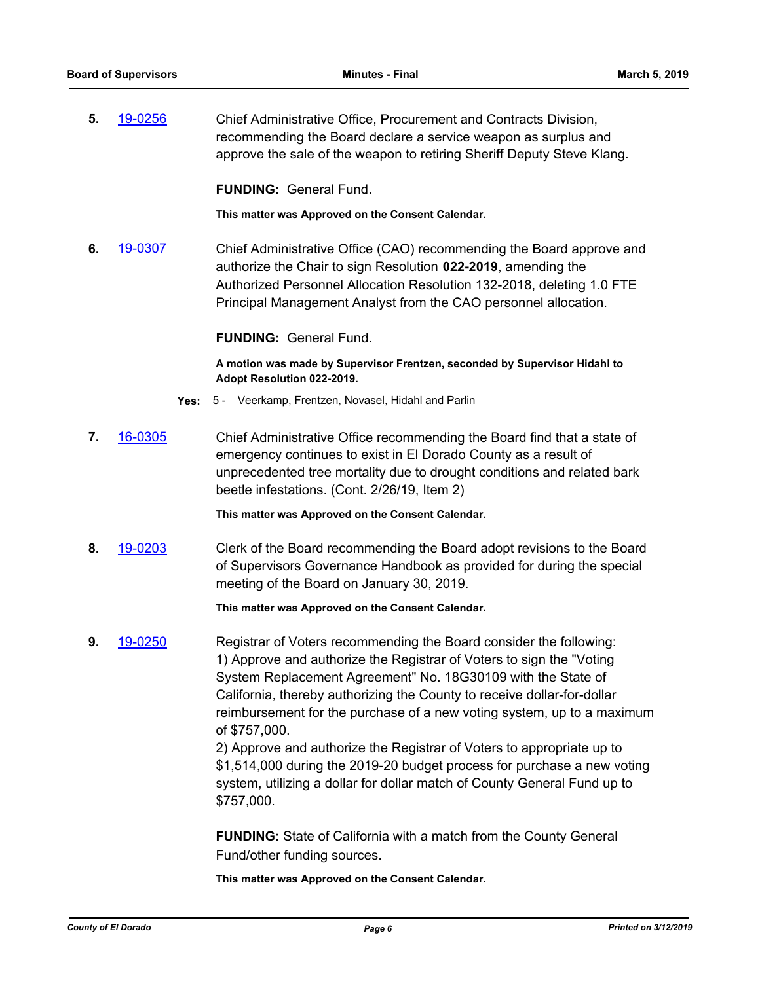**5.** [19-0256](http://eldorado.legistar.com/gateway.aspx?m=l&id=/matter.aspx?key=25577) Chief Administrative Office, Procurement and Contracts Division, recommending the Board declare a service weapon as surplus and approve the sale of the weapon to retiring Sheriff Deputy Steve Klang.

**FUNDING:** General Fund.

**This matter was Approved on the Consent Calendar.**

**6.** [19-0307](http://eldorado.legistar.com/gateway.aspx?m=l&id=/matter.aspx?key=25629) Chief Administrative Office (CAO) recommending the Board approve and authorize the Chair to sign Resolution **022-2019**, amending the Authorized Personnel Allocation Resolution 132-2018, deleting 1.0 FTE Principal Management Analyst from the CAO personnel allocation.

## **FUNDING:** General Fund.

**A motion was made by Supervisor Frentzen, seconded by Supervisor Hidahl to Adopt Resolution 022-2019.**

- **Yes:** 5 Veerkamp, Frentzen, Novasel, Hidahl and Parlin
- **7.** [16-0305](http://eldorado.legistar.com/gateway.aspx?m=l&id=/matter.aspx?key=20961) Chief Administrative Office recommending the Board find that a state of emergency continues to exist in El Dorado County as a result of unprecedented tree mortality due to drought conditions and related bark beetle infestations. (Cont. 2/26/19, Item 2)

**This matter was Approved on the Consent Calendar.**

**8.** [19-0203](http://eldorado.legistar.com/gateway.aspx?m=l&id=/matter.aspx?key=25523) Clerk of the Board recommending the Board adopt revisions to the Board of Supervisors Governance Handbook as provided for during the special meeting of the Board on January 30, 2019.

**This matter was Approved on the Consent Calendar.**

**9.** [19-0250](http://eldorado.legistar.com/gateway.aspx?m=l&id=/matter.aspx?key=25571) Registrar of Voters recommending the Board consider the following: 1) Approve and authorize the Registrar of Voters to sign the "Voting System Replacement Agreement" No. 18G30109 with the State of California, thereby authorizing the County to receive dollar-for-dollar reimbursement for the purchase of a new voting system, up to a maximum of \$757,000.

> 2) Approve and authorize the Registrar of Voters to appropriate up to \$1,514,000 during the 2019-20 budget process for purchase a new voting system, utilizing a dollar for dollar match of County General Fund up to \$757,000.

**FUNDING:** State of California with a match from the County General Fund/other funding sources.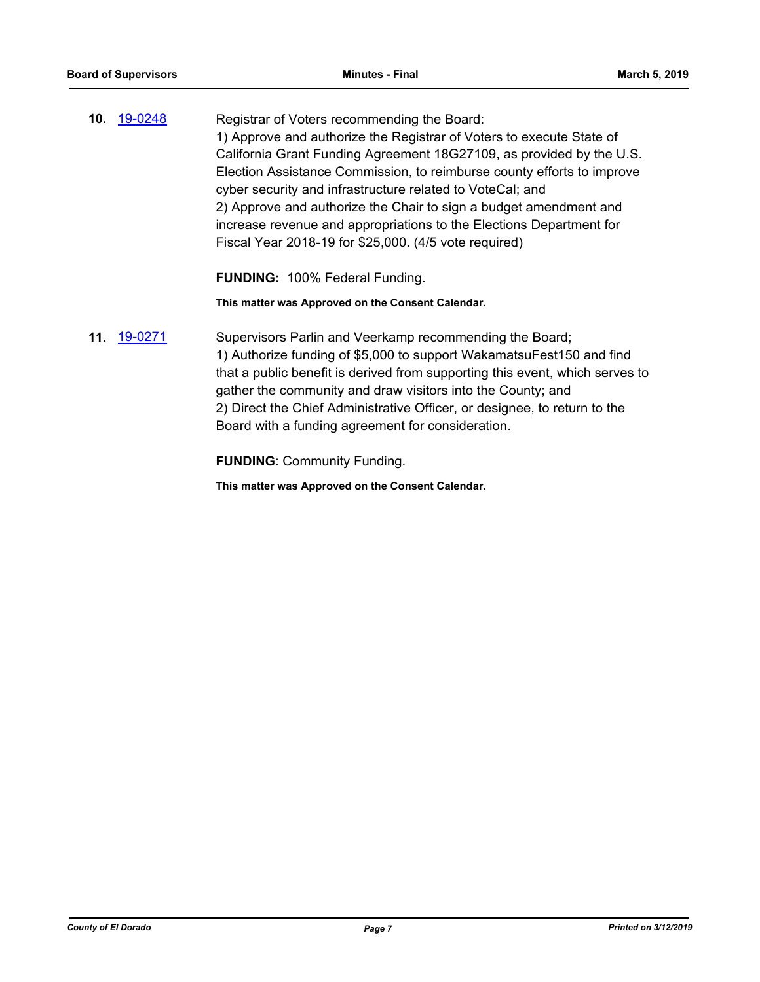**10.** [19-0248](http://eldorado.legistar.com/gateway.aspx?m=l&id=/matter.aspx?key=25569) Registrar of Voters recommending the Board: 1) Approve and authorize the Registrar of Voters to execute State of California Grant Funding Agreement 18G27109, as provided by the U.S. Election Assistance Commission, to reimburse county efforts to improve cyber security and infrastructure related to VoteCal; and 2) Approve and authorize the Chair to sign a budget amendment and increase revenue and appropriations to the Elections Department for Fiscal Year 2018-19 for \$25,000. (4/5 vote required)

**FUNDING:** 100% Federal Funding.

**This matter was Approved on the Consent Calendar.**

**11.** [19-0271](http://eldorado.legistar.com/gateway.aspx?m=l&id=/matter.aspx?key=25593) Supervisors Parlin and Veerkamp recommending the Board; 1) Authorize funding of \$5,000 to support WakamatsuFest150 and find that a public benefit is derived from supporting this event, which serves to gather the community and draw visitors into the County; and 2) Direct the Chief Administrative Officer, or designee, to return to the Board with a funding agreement for consideration.

**FUNDING**: Community Funding.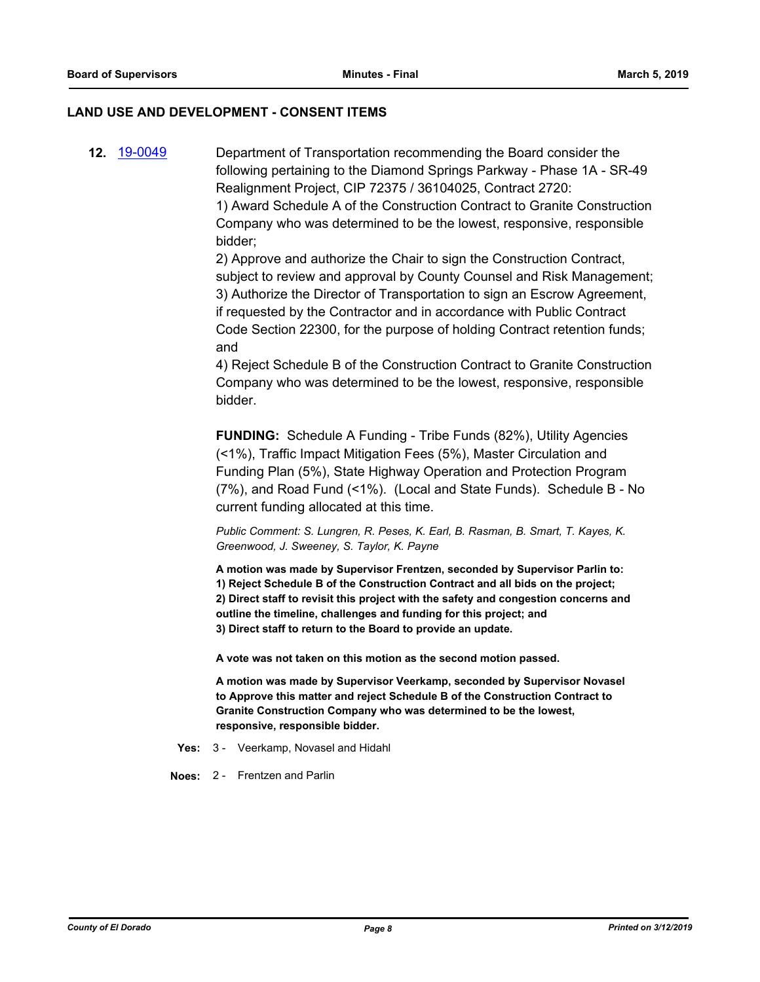#### **LAND USE AND DEVELOPMENT - CONSENT ITEMS**

**12.** [19-0049](http://eldorado.legistar.com/gateway.aspx?m=l&id=/matter.aspx?key=25370) Department of Transportation recommending the Board consider the following pertaining to the Diamond Springs Parkway - Phase 1A - SR-49 Realignment Project, CIP 72375 / 36104025, Contract 2720: 1) Award Schedule A of the Construction Contract to Granite Construction Company who was determined to be the lowest, responsive, responsible bidder;

> 2) Approve and authorize the Chair to sign the Construction Contract, subject to review and approval by County Counsel and Risk Management; 3) Authorize the Director of Transportation to sign an Escrow Agreement, if requested by the Contractor and in accordance with Public Contract Code Section 22300, for the purpose of holding Contract retention funds; and

> 4) Reject Schedule B of the Construction Contract to Granite Construction Company who was determined to be the lowest, responsive, responsible bidder.

**FUNDING:** Schedule A Funding - Tribe Funds (82%), Utility Agencies (<1%), Traffic Impact Mitigation Fees (5%), Master Circulation and Funding Plan (5%), State Highway Operation and Protection Program (7%), and Road Fund (<1%). (Local and State Funds). Schedule B - No current funding allocated at this time.

*Public Comment: S. Lungren, R. Peses, K. Earl, B. Rasman, B. Smart, T. Kayes, K. Greenwood, J. Sweeney, S. Taylor, K. Payne*

**A motion was made by Supervisor Frentzen, seconded by Supervisor Parlin to: 1) Reject Schedule B of the Construction Contract and all bids on the project; 2) Direct staff to revisit this project with the safety and congestion concerns and outline the timeline, challenges and funding for this project; and 3) Direct staff to return to the Board to provide an update.**

**A vote was not taken on this motion as the second motion passed.**

**A motion was made by Supervisor Veerkamp, seconded by Supervisor Novasel to Approve this matter and reject Schedule B of the Construction Contract to Granite Construction Company who was determined to be the lowest, responsive, responsible bidder.**

**Yes:** 3 - Veerkamp, Novasel and Hidahl

**Noes:** 2 - Frentzen and Parlin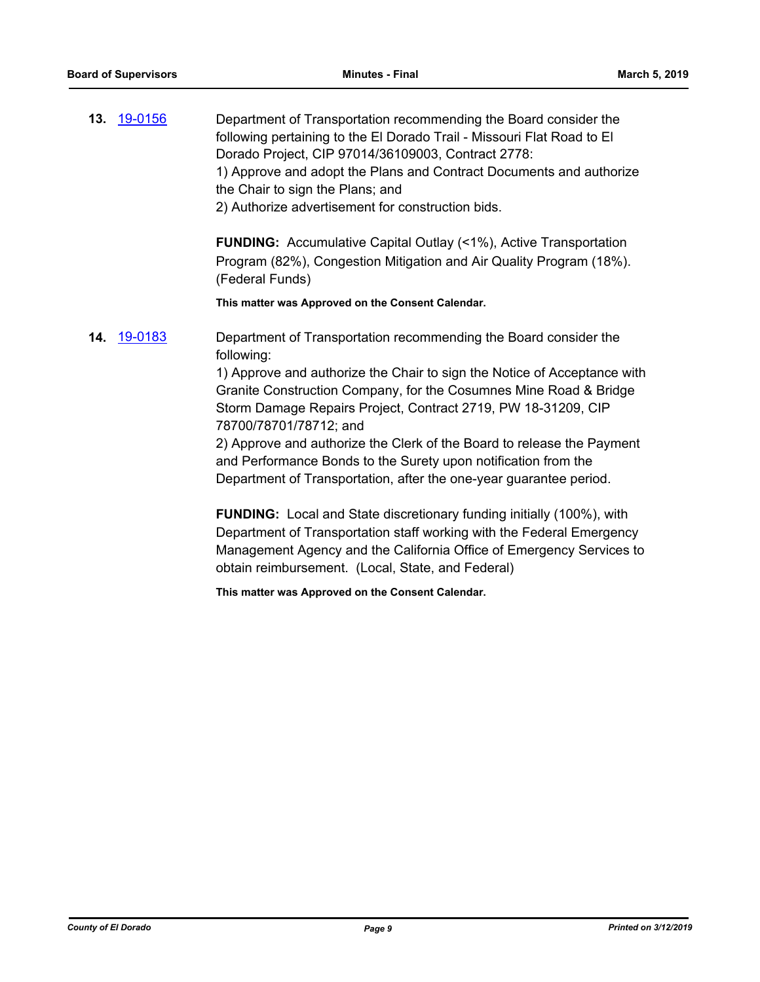**13.** [19-0156](http://eldorado.legistar.com/gateway.aspx?m=l&id=/matter.aspx?key=25476) Department of Transportation recommending the Board consider the following pertaining to the El Dorado Trail - Missouri Flat Road to El Dorado Project, CIP 97014/36109003, Contract 2778: 1) Approve and adopt the Plans and Contract Documents and authorize the Chair to sign the Plans; and 2) Authorize advertisement for construction bids.

> **FUNDING:** Accumulative Capital Outlay (<1%), Active Transportation Program (82%), Congestion Mitigation and Air Quality Program (18%). (Federal Funds)

**This matter was Approved on the Consent Calendar.**

**14.** [19-0183](http://eldorado.legistar.com/gateway.aspx?m=l&id=/matter.aspx?key=25503) Department of Transportation recommending the Board consider the following:

> 1) Approve and authorize the Chair to sign the Notice of Acceptance with Granite Construction Company, for the Cosumnes Mine Road & Bridge Storm Damage Repairs Project, Contract 2719, PW 18-31209, CIP 78700/78701/78712; and

2) Approve and authorize the Clerk of the Board to release the Payment and Performance Bonds to the Surety upon notification from the Department of Transportation, after the one-year guarantee period.

**FUNDING:** Local and State discretionary funding initially (100%), with Department of Transportation staff working with the Federal Emergency Management Agency and the California Office of Emergency Services to obtain reimbursement. (Local, State, and Federal)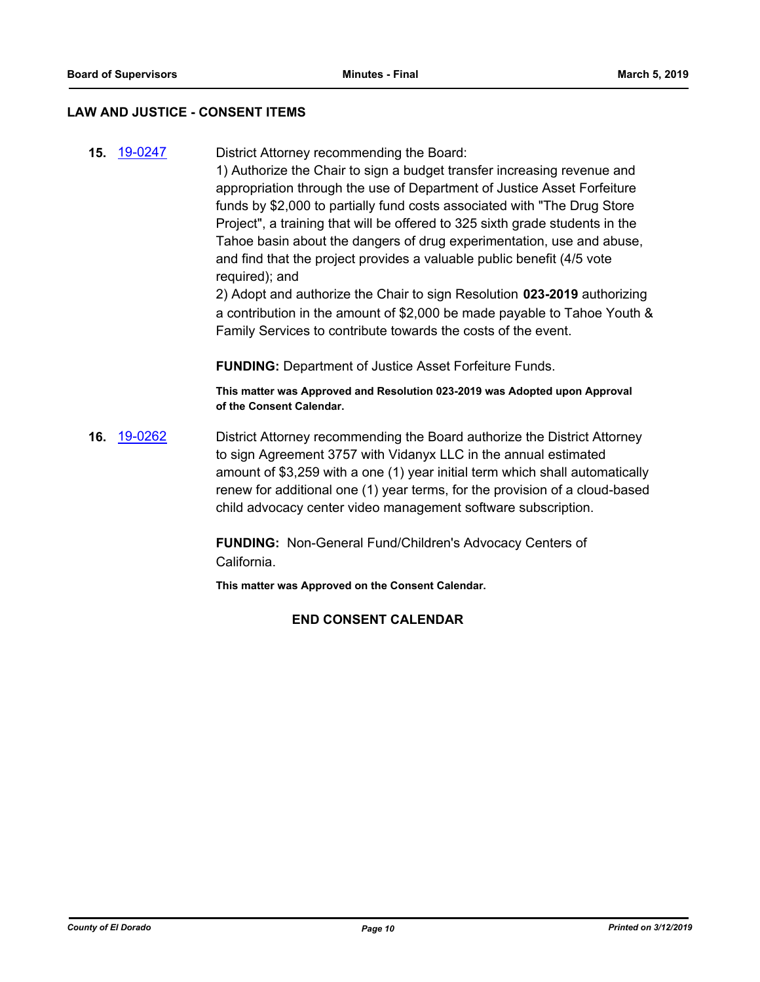#### **LAW AND JUSTICE - CONSENT ITEMS**

**15.** [19-0247](http://eldorado.legistar.com/gateway.aspx?m=l&id=/matter.aspx?key=25568) District Attorney recommending the Board:

1) Authorize the Chair to sign a budget transfer increasing revenue and appropriation through the use of Department of Justice Asset Forfeiture funds by \$2,000 to partially fund costs associated with "The Drug Store Project", a training that will be offered to 325 sixth grade students in the Tahoe basin about the dangers of drug experimentation, use and abuse, and find that the project provides a valuable public benefit (4/5 vote required); and

2) Adopt and authorize the Chair to sign Resolution **023-2019** authorizing a contribution in the amount of \$2,000 be made payable to Tahoe Youth & Family Services to contribute towards the costs of the event.

**FUNDING:** Department of Justice Asset Forfeiture Funds.

**This matter was Approved and Resolution 023-2019 was Adopted upon Approval of the Consent Calendar.**

**16.** [19-0262](http://eldorado.legistar.com/gateway.aspx?m=l&id=/matter.aspx?key=25583) District Attorney recommending the Board authorize the District Attorney to sign Agreement 3757 with Vidanyx LLC in the annual estimated amount of \$3,259 with a one (1) year initial term which shall automatically renew for additional one (1) year terms, for the provision of a cloud-based child advocacy center video management software subscription.

> **FUNDING:** Non-General Fund/Children's Advocacy Centers of California.

**This matter was Approved on the Consent Calendar.**

## **END CONSENT CALENDAR**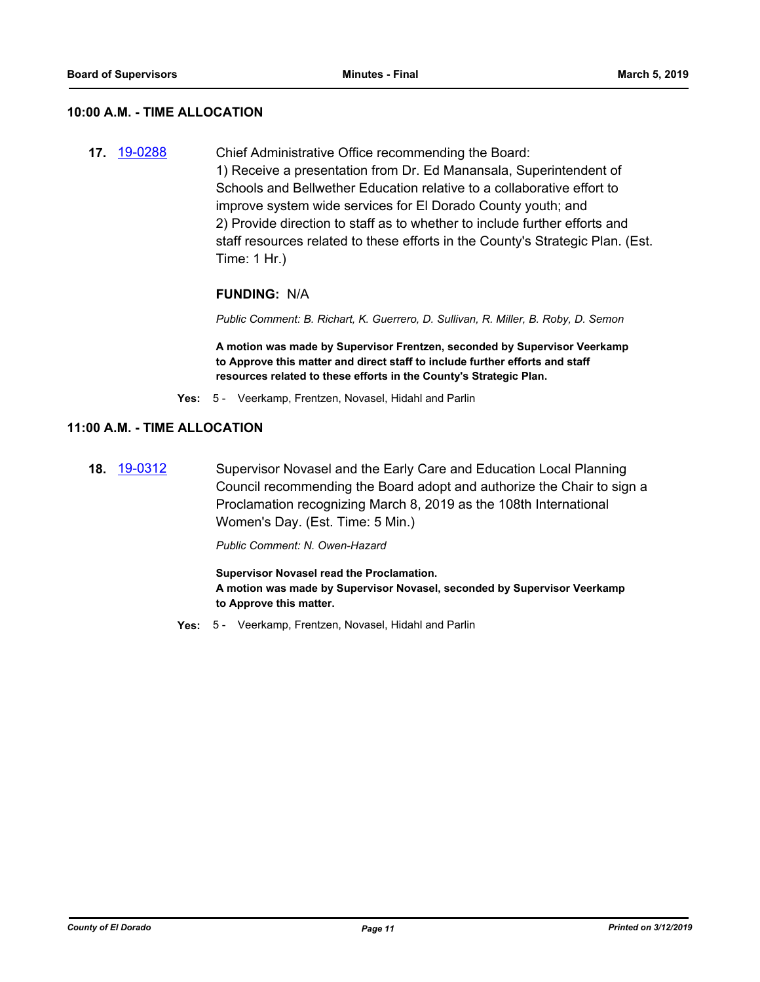#### **10:00 A.M. - TIME ALLOCATION**

**17.** [19-0288](http://eldorado.legistar.com/gateway.aspx?m=l&id=/matter.aspx?key=25610) Chief Administrative Office recommending the Board: 1) Receive a presentation from Dr. Ed Manansala, Superintendent of Schools and Bellwether Education relative to a collaborative effort to improve system wide services for El Dorado County youth; and 2) Provide direction to staff as to whether to include further efforts and staff resources related to these efforts in the County's Strategic Plan. (Est. Time: 1 Hr.)

## **FUNDING:** N/A

*Public Comment: B. Richart, K. Guerrero, D. Sullivan, R. Miller, B. Roby, D. Semon*

**A motion was made by Supervisor Frentzen, seconded by Supervisor Veerkamp to Approve this matter and direct staff to include further efforts and staff resources related to these efforts in the County's Strategic Plan.**

**Yes:** 5 - Veerkamp, Frentzen, Novasel, Hidahl and Parlin

#### **11:00 A.M. - TIME ALLOCATION**

**18.** [19-0312](http://eldorado.legistar.com/gateway.aspx?m=l&id=/matter.aspx?key=25634) Supervisor Novasel and the Early Care and Education Local Planning Council recommending the Board adopt and authorize the Chair to sign a Proclamation recognizing March 8, 2019 as the 108th International Women's Day. (Est. Time: 5 Min.)

#### *Public Comment: N. Owen-Hazard*

**Supervisor Novasel read the Proclamation. A motion was made by Supervisor Novasel, seconded by Supervisor Veerkamp to Approve this matter.**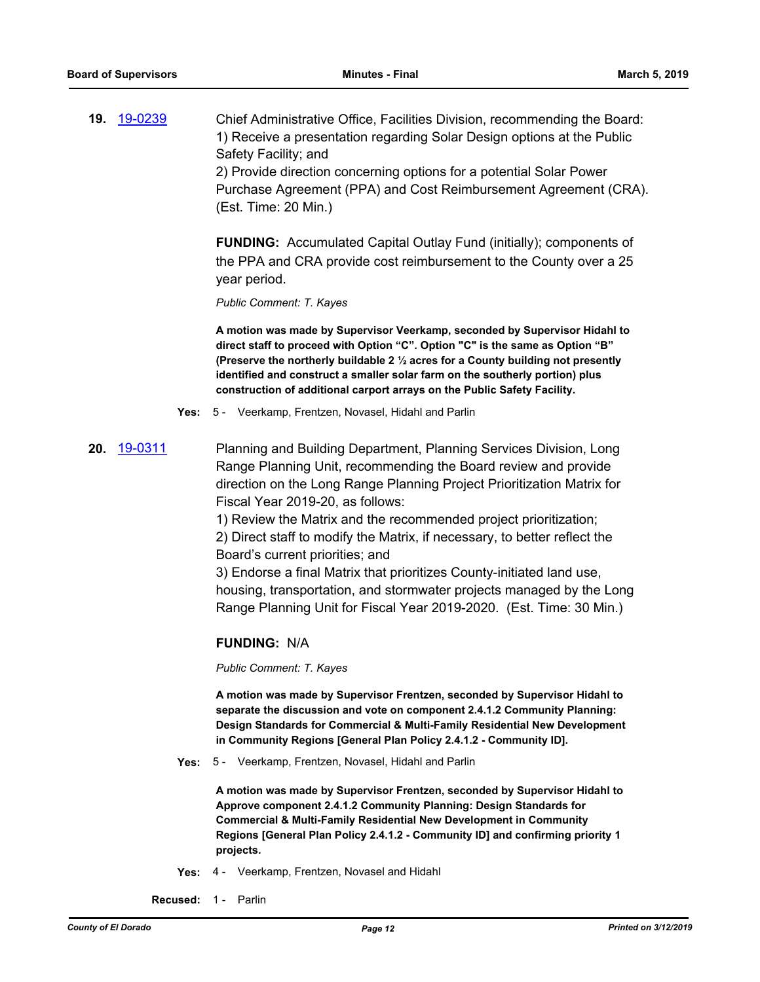**19.** [19-0239](http://eldorado.legistar.com/gateway.aspx?m=l&id=/matter.aspx?key=25560) Chief Administrative Office, Facilities Division, recommending the Board: 1) Receive a presentation regarding Solar Design options at the Public Safety Facility; and 2) Provide direction concerning options for a potential Solar Power Purchase Agreement (PPA) and Cost Reimbursement Agreement (CRA). (Est. Time: 20 Min.)

> **FUNDING:** Accumulated Capital Outlay Fund (initially); components of the PPA and CRA provide cost reimbursement to the County over a 25 year period.

*Public Comment: T. Kayes*

**A motion was made by Supervisor Veerkamp, seconded by Supervisor Hidahl to direct staff to proceed with Option "C". Option "C" is the same as Option "B" (Preserve the northerly buildable 2 ½ acres for a County building not presently identified and construct a smaller solar farm on the southerly portion) plus construction of additional carport arrays on the Public Safety Facility.**

**Yes:** 5 - Veerkamp, Frentzen, Novasel, Hidahl and Parlin

**20.** [19-0311](http://eldorado.legistar.com/gateway.aspx?m=l&id=/matter.aspx?key=25633) Planning and Building Department, Planning Services Division, Long Range Planning Unit, recommending the Board review and provide direction on the Long Range Planning Project Prioritization Matrix for Fiscal Year 2019-20, as follows:

> 1) Review the Matrix and the recommended project prioritization; 2) Direct staff to modify the Matrix, if necessary, to better reflect the Board's current priorities; and

3) Endorse a final Matrix that prioritizes County-initiated land use, housing, transportation, and stormwater projects managed by the Long Range Planning Unit for Fiscal Year 2019-2020. (Est. Time: 30 Min.)

#### **FUNDING:** N/A

*Public Comment: T. Kayes*

**A motion was made by Supervisor Frentzen, seconded by Supervisor Hidahl to separate the discussion and vote on component 2.4.1.2 Community Planning: Design Standards for Commercial & Multi-Family Residential New Development in Community Regions [General Plan Policy 2.4.1.2 - Community ID].**

**Yes:** 5 - Veerkamp, Frentzen, Novasel, Hidahl and Parlin

**A motion was made by Supervisor Frentzen, seconded by Supervisor Hidahl to Approve component 2.4.1.2 Community Planning: Design Standards for Commercial & Multi-Family Residential New Development in Community Regions [General Plan Policy 2.4.1.2 - Community ID] and confirming priority 1 projects.**

**Yes:** 4 - Veerkamp, Frentzen, Novasel and Hidahl

**Recused:** 1 - Parlin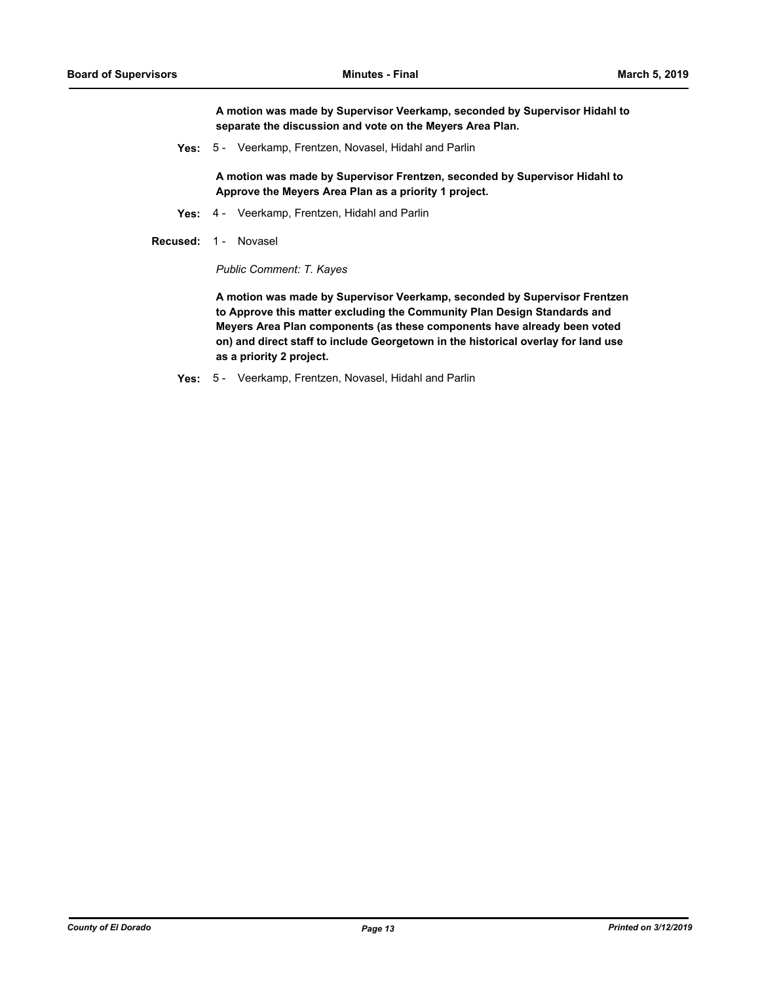**A motion was made by Supervisor Veerkamp, seconded by Supervisor Hidahl to separate the discussion and vote on the Meyers Area Plan.**

**Yes:** 5 - Veerkamp, Frentzen, Novasel, Hidahl and Parlin

**A motion was made by Supervisor Frentzen, seconded by Supervisor Hidahl to Approve the Meyers Area Plan as a priority 1 project.**

- **Yes:** 4 Veerkamp, Frentzen, Hidahl and Parlin
- **Recused:** 1 Novasel

*Public Comment: T. Kayes*

**A motion was made by Supervisor Veerkamp, seconded by Supervisor Frentzen to Approve this matter excluding the Community Plan Design Standards and Meyers Area Plan components (as these components have already been voted on) and direct staff to include Georgetown in the historical overlay for land use as a priority 2 project.**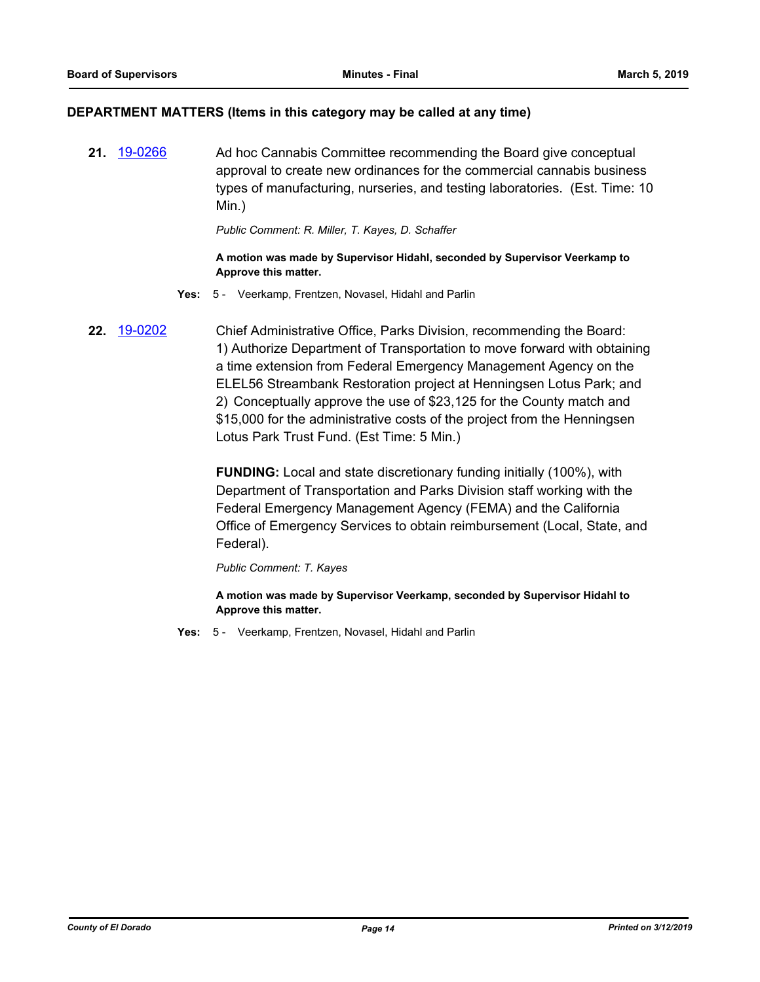#### **DEPARTMENT MATTERS (Items in this category may be called at any time)**

**21.** [19-0266](http://eldorado.legistar.com/gateway.aspx?m=l&id=/matter.aspx?key=25588) Ad hoc Cannabis Committee recommending the Board give conceptual approval to create new ordinances for the commercial cannabis business types of manufacturing, nurseries, and testing laboratories. (Est. Time: 10 Min.)

*Public Comment: R. Miller, T. Kayes, D. Schaffer*

#### **A motion was made by Supervisor Hidahl, seconded by Supervisor Veerkamp to Approve this matter.**

- **Yes:** 5 Veerkamp, Frentzen, Novasel, Hidahl and Parlin
- **22.** [19-0202](http://eldorado.legistar.com/gateway.aspx?m=l&id=/matter.aspx?key=25522) Chief Administrative Office, Parks Division, recommending the Board: 1) Authorize Department of Transportation to move forward with obtaining a time extension from Federal Emergency Management Agency on the ELEL56 Streambank Restoration project at Henningsen Lotus Park; and 2) Conceptually approve the use of \$23,125 for the County match and \$15,000 for the administrative costs of the project from the Henningsen Lotus Park Trust Fund. (Est Time: 5 Min.)

**FUNDING:** Local and state discretionary funding initially (100%), with Department of Transportation and Parks Division staff working with the Federal Emergency Management Agency (FEMA) and the California Office of Emergency Services to obtain reimbursement (Local, State, and Federal).

*Public Comment: T. Kayes*

**A motion was made by Supervisor Veerkamp, seconded by Supervisor Hidahl to Approve this matter.**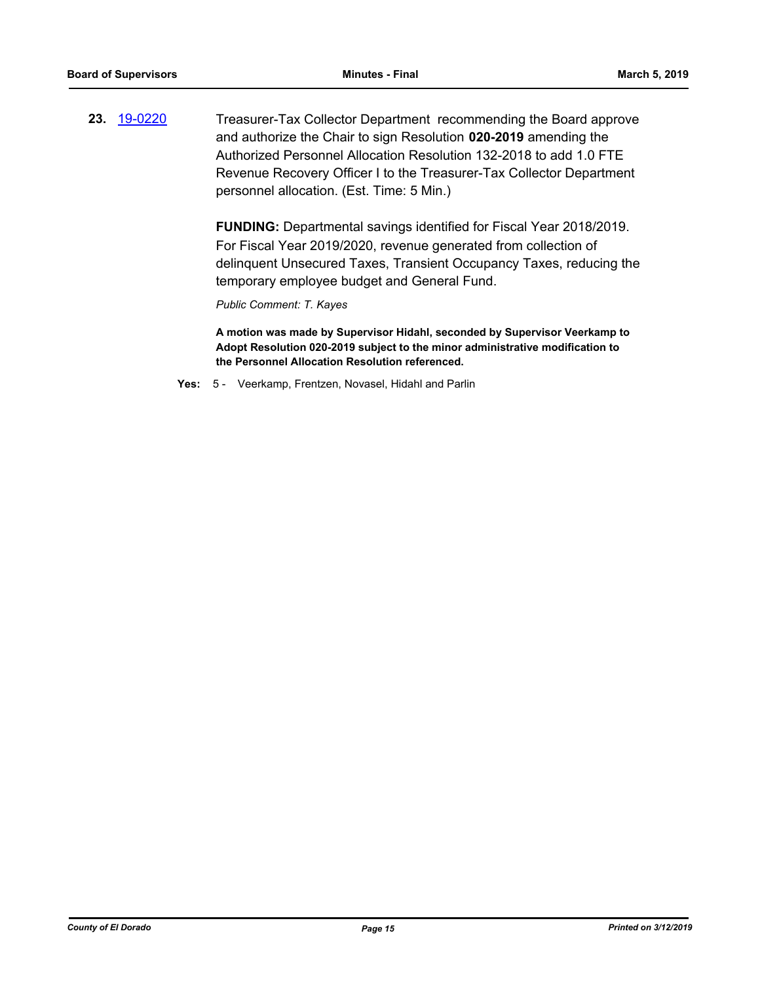**23.** [19-0220](http://eldorado.legistar.com/gateway.aspx?m=l&id=/matter.aspx?key=25540) Treasurer-Tax Collector Department recommending the Board approve and authorize the Chair to sign Resolution **020-2019** amending the Authorized Personnel Allocation Resolution 132-2018 to add 1.0 FTE Revenue Recovery Officer I to the Treasurer-Tax Collector Department personnel allocation. (Est. Time: 5 Min.)

> **FUNDING:** Departmental savings identified for Fiscal Year 2018/2019. For Fiscal Year 2019/2020, revenue generated from collection of delinquent Unsecured Taxes, Transient Occupancy Taxes, reducing the temporary employee budget and General Fund.

*Public Comment: T. Kayes*

**A motion was made by Supervisor Hidahl, seconded by Supervisor Veerkamp to Adopt Resolution 020-2019 subject to the minor administrative modification to the Personnel Allocation Resolution referenced.**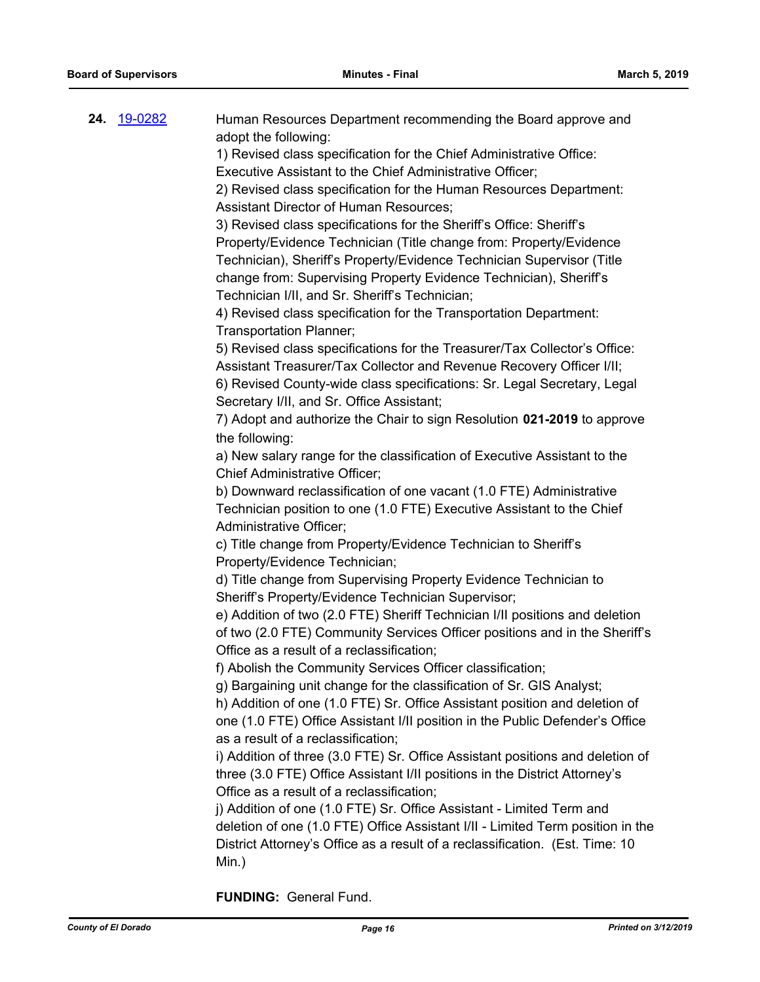| Property/Evidence Technician (Title change from: Property/Evidence<br>Technician), Sheriff's Property/Evidence Technician Supervisor (Title<br>change from: Supervising Property Evidence Technician), Sheriff's<br>Technician I/II, and Sr. Sheriff's Technician;<br>4) Revised class specification for the Transportation Department:<br>Transportation Planner;<br>5) Revised class specifications for the Treasurer/Tax Collector's Office:<br>Assistant Treasurer/Tax Collector and Revenue Recovery Officer I/II;<br>6) Revised County-wide class specifications: Sr. Legal Secretary, Legal<br>Secretary I/II, and Sr. Office Assistant;<br>7) Adopt and authorize the Chair to sign Resolution 021-2019 to approve<br>the following:<br>a) New salary range for the classification of Executive Assistant to the<br><b>Chief Administrative Officer;</b><br>b) Downward reclassification of one vacant (1.0 FTE) Administrative<br>Technician position to one (1.0 FTE) Executive Assistant to the Chief<br>Administrative Officer;<br>c) Title change from Property/Evidence Technician to Sheriff's<br>Property/Evidence Technician;<br>d) Title change from Supervising Property Evidence Technician to<br>Sheriff's Property/Evidence Technician Supervisor;<br>e) Addition of two (2.0 FTE) Sheriff Technician I/II positions and deletion<br>of two (2.0 FTE) Community Services Officer positions and in the Sheriff's<br>Office as a result of a reclassification;<br>f) Abolish the Community Services Officer classification;<br>g) Bargaining unit change for the classification of Sr. GIS Analyst;<br>h) Addition of one (1.0 FTE) Sr. Office Assistant position and deletion of<br>one (1.0 FTE) Office Assistant I/II position in the Public Defender's Office<br>as a result of a reclassification;<br>i) Addition of three (3.0 FTE) Sr. Office Assistant positions and deletion of<br>three (3.0 FTE) Office Assistant I/II positions in the District Attorney's<br>Office as a result of a reclassification;<br>j) Addition of one (1.0 FTE) Sr. Office Assistant - Limited Term and<br>deletion of one (1.0 FTE) Office Assistant I/II - Limited Term position in the |
|---------------------------------------------------------------------------------------------------------------------------------------------------------------------------------------------------------------------------------------------------------------------------------------------------------------------------------------------------------------------------------------------------------------------------------------------------------------------------------------------------------------------------------------------------------------------------------------------------------------------------------------------------------------------------------------------------------------------------------------------------------------------------------------------------------------------------------------------------------------------------------------------------------------------------------------------------------------------------------------------------------------------------------------------------------------------------------------------------------------------------------------------------------------------------------------------------------------------------------------------------------------------------------------------------------------------------------------------------------------------------------------------------------------------------------------------------------------------------------------------------------------------------------------------------------------------------------------------------------------------------------------------------------------------------------------------------------------------------------------------------------------------------------------------------------------------------------------------------------------------------------------------------------------------------------------------------------------------------------------------------------------------------------------------------------------------------------------------------------------------------------------------------------------------------------------------------|
| District Attorney's Office as a result of a reclassification. (Est. Time: 10<br>Min.)                                                                                                                                                                                                                                                                                                                                                                                                                                                                                                                                                                                                                                                                                                                                                                                                                                                                                                                                                                                                                                                                                                                                                                                                                                                                                                                                                                                                                                                                                                                                                                                                                                                                                                                                                                                                                                                                                                                                                                                                                                                                                                             |

**FUNDING:** General Fund.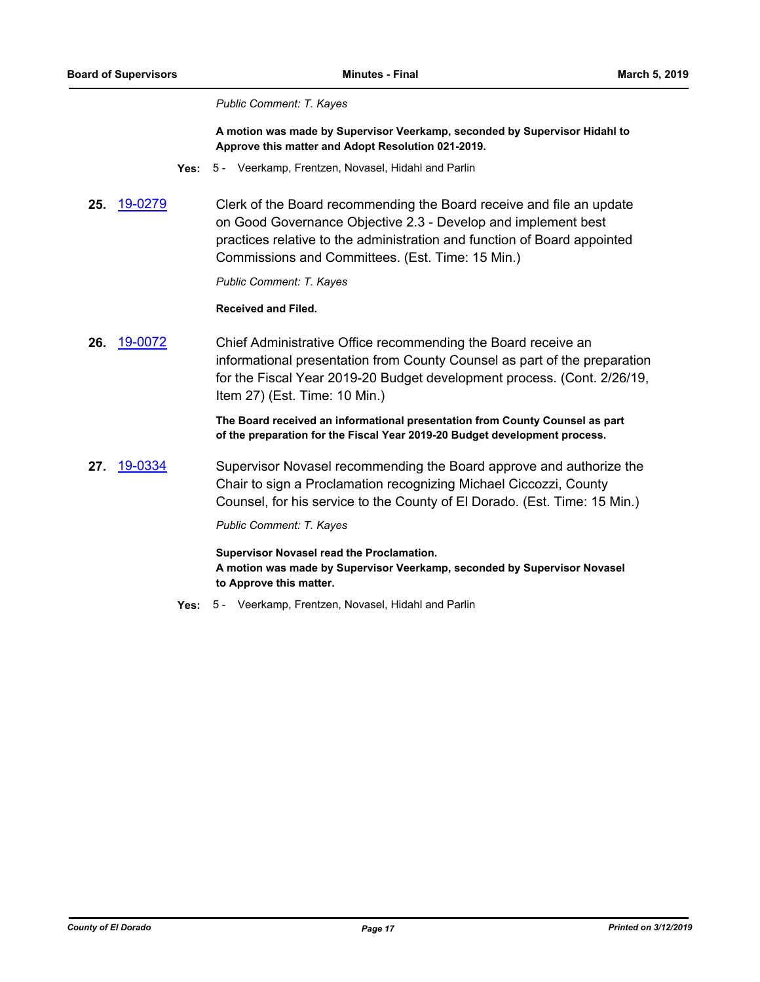#### *Public Comment: T. Kayes*

**A motion was made by Supervisor Veerkamp, seconded by Supervisor Hidahl to Approve this matter and Adopt Resolution 021-2019.**

- **Yes:** 5 Veerkamp, Frentzen, Novasel, Hidahl and Parlin
- **25.** [19-0279](http://eldorado.legistar.com/gateway.aspx?m=l&id=/matter.aspx?key=25601) Clerk of the Board recommending the Board receive and file an update on Good Governance Objective 2.3 - Develop and implement best practices relative to the administration and function of Board appointed Commissions and Committees. (Est. Time: 15 Min.)

*Public Comment: T. Kayes*

**Received and Filed.**

**26.** [19-0072](http://eldorado.legistar.com/gateway.aspx?m=l&id=/matter.aspx?key=25393) Chief Administrative Office recommending the Board receive an informational presentation from County Counsel as part of the preparation for the Fiscal Year 2019-20 Budget development process. (Cont. 2/26/19, Item 27) (Est. Time: 10 Min.)

> **The Board received an informational presentation from County Counsel as part of the preparation for the Fiscal Year 2019-20 Budget development process.**

**27.** [19-0334](http://eldorado.legistar.com/gateway.aspx?m=l&id=/matter.aspx?key=25655) Supervisor Novasel recommending the Board approve and authorize the Chair to sign a Proclamation recognizing Michael Ciccozzi, County Counsel, for his service to the County of El Dorado. (Est. Time: 15 Min.)

*Public Comment: T. Kayes*

**Supervisor Novasel read the Proclamation. A motion was made by Supervisor Veerkamp, seconded by Supervisor Novasel to Approve this matter.**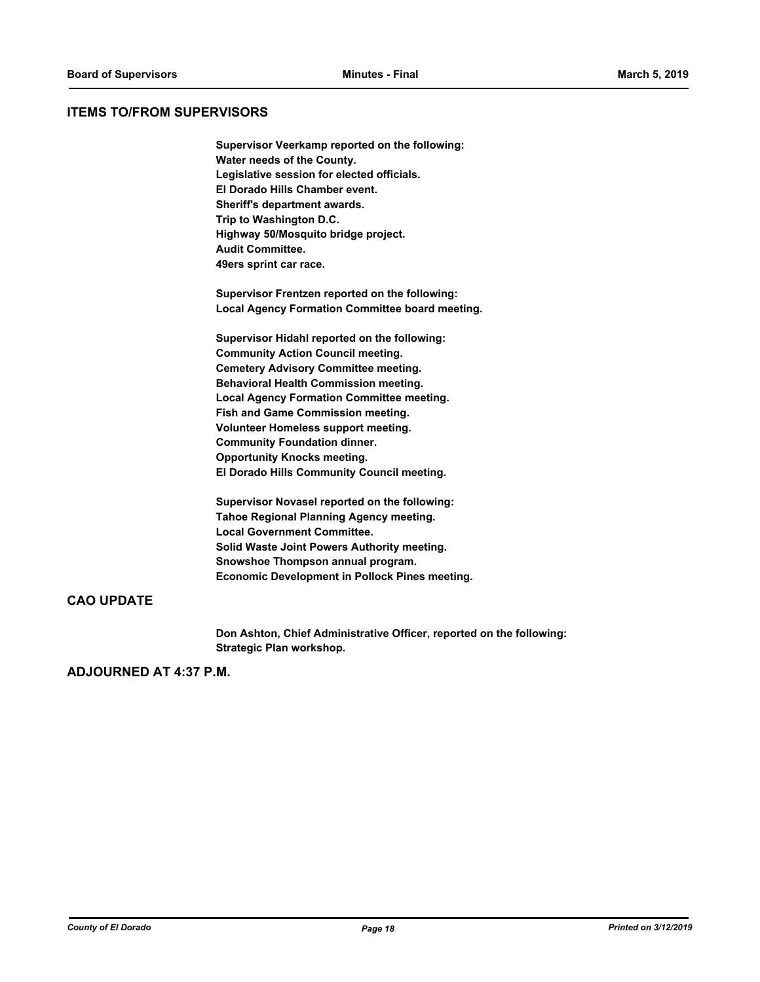## **ITEMS TO/FROM SUPERVISORS**

**Supervisor Veerkamp reported on the following: Water needs of the County. Legislative session for elected officials. El Dorado Hills Chamber event. Sheriff's department awards. Trip to Washington D.C. Highway 50/Mosquito bridge project. Audit Committee. 49ers sprint car race.**

**Supervisor Frentzen reported on the following: Local Agency Formation Committee board meeting.**

**Supervisor Hidahl reported on the following: Community Action Council meeting. Cemetery Advisory Committee meeting. Behavioral Health Commission meeting. Local Agency Formation Committee meeting. Fish and Game Commission meeting. Volunteer Homeless support meeting. Community Foundation dinner. Opportunity Knocks meeting. El Dorado Hills Community Council meeting.**

**Supervisor Novasel reported on the following: Tahoe Regional Planning Agency meeting. Local Government Committee. Solid Waste Joint Powers Authority meeting. Snowshoe Thompson annual program. Economic Development in Pollock Pines meeting.**

## **CAO UPDATE**

**Don Ashton, Chief Administrative Officer, reported on the following: Strategic Plan workshop.**

## **ADJOURNED AT 4:37 P.M.**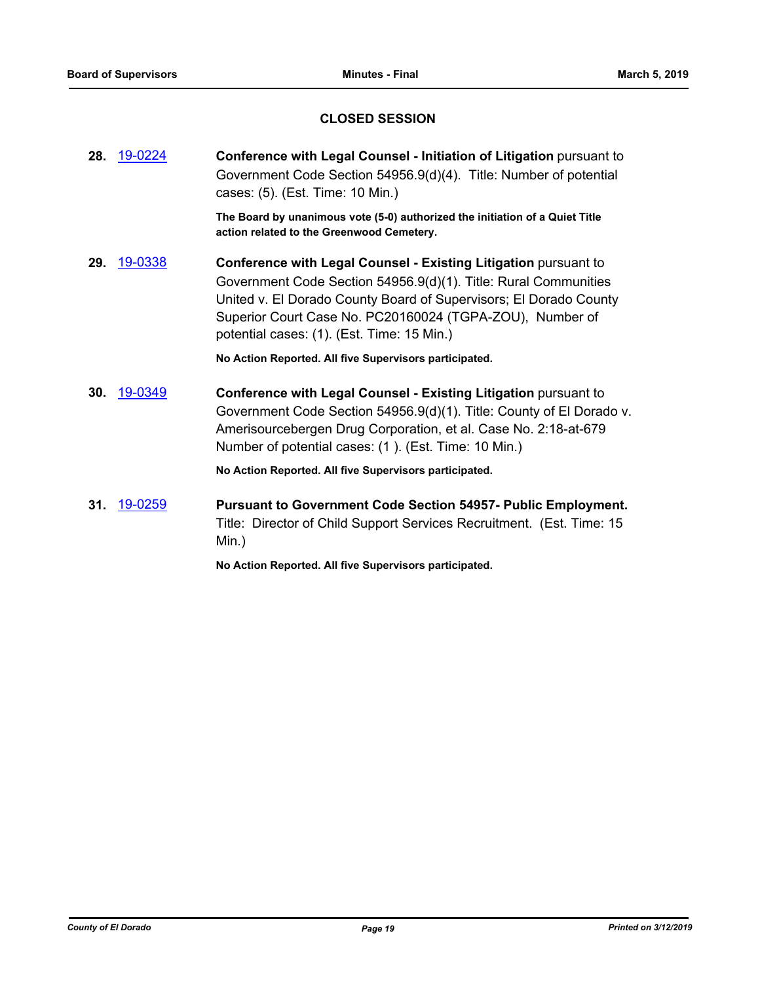## **CLOSED SESSION**

| 28. | 19-0224 | Conference with Legal Counsel - Initiation of Litigation pursuant to<br>Government Code Section 54956.9(d)(4). Title: Number of potential<br>cases: (5). (Est. Time: 10 Min.)                                                                                                                                            |
|-----|---------|--------------------------------------------------------------------------------------------------------------------------------------------------------------------------------------------------------------------------------------------------------------------------------------------------------------------------|
|     |         | The Board by unanimous vote (5-0) authorized the initiation of a Quiet Title<br>action related to the Greenwood Cemetery.                                                                                                                                                                                                |
| 29. | 19-0338 | <b>Conference with Legal Counsel - Existing Litigation pursuant to</b><br>Government Code Section 54956.9(d)(1). Title: Rural Communities<br>United v. El Dorado County Board of Supervisors; El Dorado County<br>Superior Court Case No. PC20160024 (TGPA-ZOU), Number of<br>potential cases: (1). (Est. Time: 15 Min.) |

**No Action Reported. All five Supervisors participated.**

**30.** [19-0349](http://eldorado.legistar.com/gateway.aspx?m=l&id=/matter.aspx?key=25670) **Conference with Legal Counsel - Existing Litigation** pursuant to Government Code Section 54956.9(d)(1). Title: County of El Dorado v. Amerisourcebergen Drug Corporation, et al. Case No. 2:18-at-679 Number of potential cases: (1 ). (Est. Time: 10 Min.)

**No Action Reported. All five Supervisors participated.**

**31.** [19-0259](http://eldorado.legistar.com/gateway.aspx?m=l&id=/matter.aspx?key=25580) **Pursuant to Government Code Section 54957- Public Employment.** Title: Director of Child Support Services Recruitment. (Est. Time: 15 Min.)

**No Action Reported. All five Supervisors participated.**